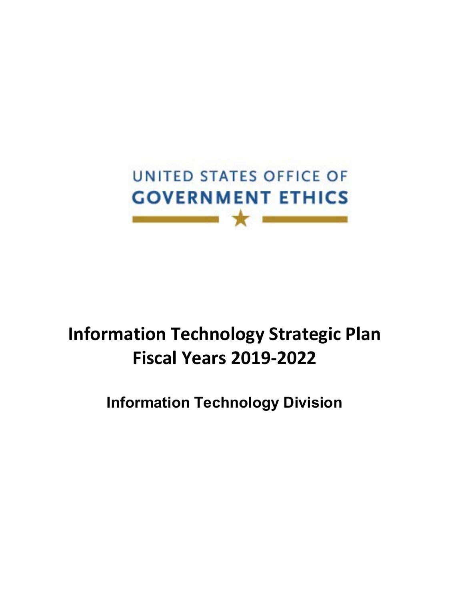

# **Information Technology Strategic Plan Fiscal Years 2019-2022**

**Information Technology Division**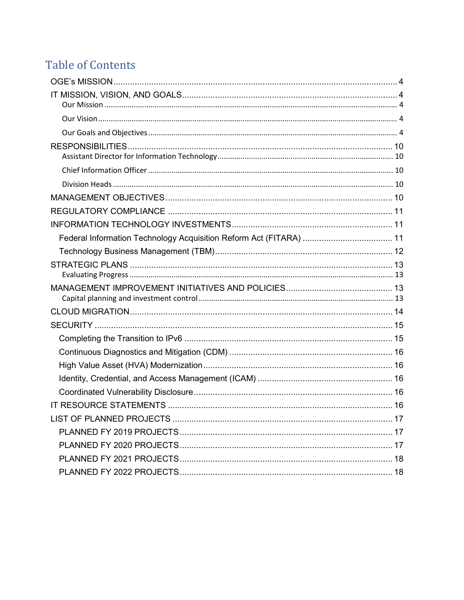# **Table of Contents**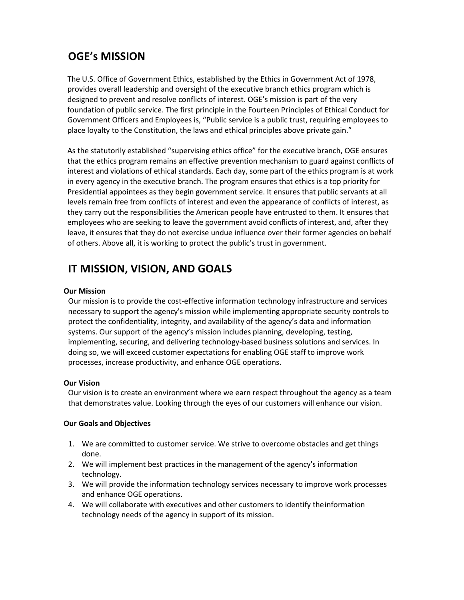# <span id="page-2-0"></span>**OGE's MISSION**

The U.S. Office of Government Ethics, established by the Ethics in Government Act of 1978, provides overall leadership and oversight of the executive branch ethics program which is designed to prevent and resolve conflicts of interest. OGE's mission is part of the very foundation of public service. The first principle in the Fourteen Principles of Ethical Conduct for Government Officers and Employees is, "Public service is a public trust, requiring employees to place loyalty to the Constitution, the laws and ethical principles above private gain."

As the statutorily established "supervising ethics office" for the executive branch, OGE ensures that the ethics program remains an effective prevention mechanism to guard against conflicts of interest and violations of ethical standards. Each day, some part of the ethics program is at work in every agency in the executive branch. The program ensures that ethics is a top priority for Presidential appointees as they begin government service. It ensures that public servants at all levels remain free from conflicts of interest and even the appearance of conflicts of interest, as they carry out the responsibilities the American people have entrusted to them. It ensures that employees who are seeking to leave the government avoid conflicts of interest, and, after they leave, it ensures that they do not exercise undue influence over their former agencies on behalf of others. Above all, it is working to protect the public's trust in government.

# <span id="page-2-1"></span>**IT MISSION, VISION, AND GOALS**

### <span id="page-2-2"></span>**Our Mission**

Our mission is to provide the cost-effective information technology infrastructure and services necessary to support the agency's mission while implementing appropriate security controls to protect the confidentiality, integrity, and availability of the agency's data and information systems. Our support of the agency's mission includes planning, developing, testing, implementing, securing, and delivering technology-based business solutions and services. In doing so, we will exceed customer expectations for enabling OGE staff to improve work processes, increase productivity, and enhance OGE operations.

#### <span id="page-2-3"></span>**Our Vision**

Our vision is to create an environment where we earn respect throughout the agency as a team that demonstrates value. Looking through the eyes of our customers will enhance our vision.

### <span id="page-2-4"></span>**Our Goals and Objectives**

- 1. We are committed to customer service. We strive to overcome obstacles and get things done.
- 2. We will implement best practices in the management of the agency's information technology.
- 3. We will provide the information technology services necessary to improve work processes and enhance OGE operations.
- 4. We will collaborate with executives and other customers to identify theinformation technology needs of the agency in support of its mission.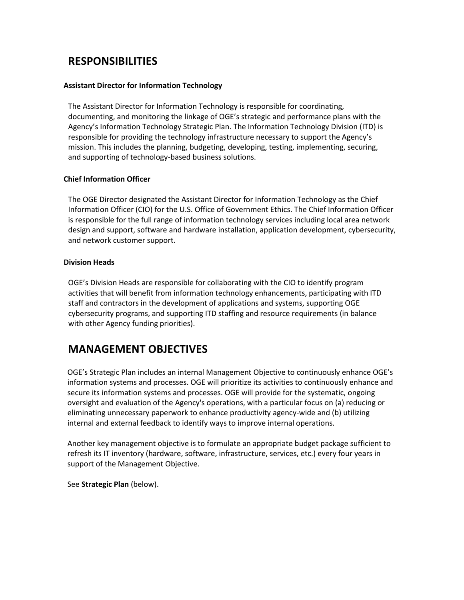# <span id="page-3-0"></span>**RESPONSIBILITIES**

### <span id="page-3-1"></span>**Assistant Director for Information Technology**

The Assistant Director for Information Technology is responsible for coordinating, documenting, and monitoring the linkage of OGE's strategic and performance plans with the Agency's Information Technology Strategic Plan. The Information Technology Division (ITD) is responsible for providing the technology infrastructure necessary to support the Agency's mission. This includes the planning, budgeting, developing, testing, implementing, securing, and supporting of technology-based business solutions.

### <span id="page-3-2"></span>**Chief Information Officer**

The OGE Director designated the Assistant Director for Information Technology as the Chief Information Officer (CIO) for the U.S. Office of Government Ethics. The Chief Information Officer is responsible for the full range of information technology services including local area network design and support, software and hardware installation, application development, cybersecurity, and network customer support.

#### <span id="page-3-3"></span>**Division Heads**

OGE's Division Heads are responsible for collaborating with the CIO to identify program activities that will benefit from information technology enhancements, participating with ITD staff and contractors in the development of applications and systems, supporting OGE cybersecurity programs, and supporting ITD staffing and resource requirements (in balance with other Agency funding priorities).

# <span id="page-3-4"></span>**MANAGEMENT OBJECTIVES**

OGE's Strategic Plan includes an internal Management Objective to continuously enhance OGE's information systems and processes. OGE will prioritize its activities to continuously enhance and secure its information systems and processes. OGE will provide for the systematic, ongoing oversight and evaluation of the Agency's operations, with a particular focus on (a) reducing or eliminating unnecessary paperwork to enhance productivity agency-wide and (b) utilizing internal and external feedback to identify ways to improve internal operations.

Another key management objective is to formulate an appropriate budget package sufficient to refresh its IT inventory (hardware, software, infrastructure, services, etc.) every four years in support of the Management Objective.

See **Strategic Plan** (below).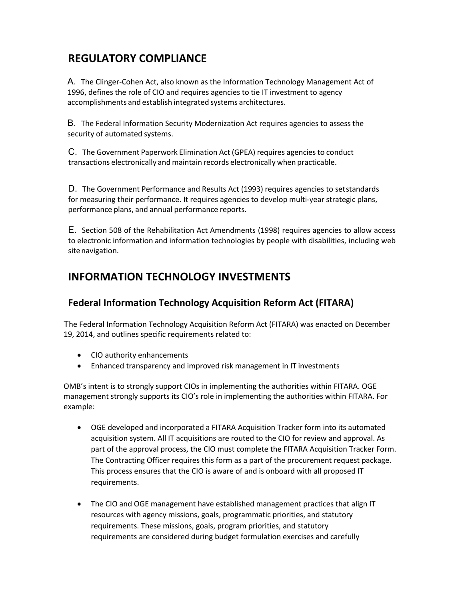# <span id="page-4-0"></span>**REGULATORY COMPLIANCE**

A. The Clinger-Cohen Act, also known as the Information Technology Management Act of 1996, defines the role of CIO and requires agencies to tie IT investment to agency accomplishments and establish integrated systems architectures.

B. The Federal Information Security Modernization Act requires agencies to assess the security of automated systems.

C. The Government Paperwork Elimination Act (GPEA) requires agencies to conduct transactions electronically and maintain records electronically when practicable.

D. The Government Performance and Results Act (1993) requires agencies to setstandards for measuring their performance. It requires agencies to develop multi-year strategic plans, performance plans, and annual performance reports.

E. Section 508 of the Rehabilitation Act Amendments (1998) requires agencies to allow access to electronic information and information technologies by people with disabilities, including web site navigation.

# <span id="page-4-1"></span>**INFORMATION TECHNOLOGY INVESTMENTS**

### <span id="page-4-2"></span>**Federal Information Technology Acquisition Reform Act (FITARA)**

The Federal Information Technology Acquisition Reform Act (FITARA) was enacted on December 19, 2014, and outlines specific requirements related to:

- CIO authority enhancements
- Enhanced transparency and improved risk management in IT investments

OMB's intent is to strongly support CIOs in implementing the authorities within FITARA. OGE management strongly supports its CIO's role in implementing the authorities within FITARA. For example:

- OGE developed and incorporated a FITARA Acquisition Tracker form into its automated acquisition system. All IT acquisitions are routed to the CIO for review and approval. As part of the approval process, the CIO must complete the FITARA Acquisition Tracker Form. The Contracting Officer requires this form as a part of the procurement request package. This process ensures that the CIO is aware of and is onboard with all proposed IT requirements.
- The CIO and OGE management have established management practices that align IT resources with agency missions, goals, programmatic priorities, and statutory requirements. These missions, goals, program priorities, and statutory requirements are considered during budget formulation exercises and carefully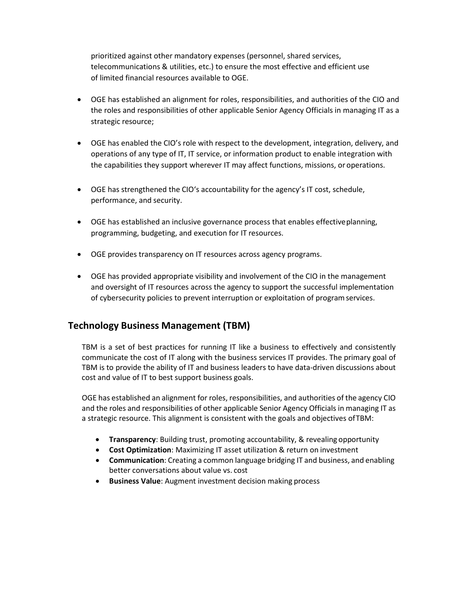prioritized against other mandatory expenses (personnel, shared services, telecommunications & utilities, etc.) to ensure the most effective and efficient use of limited financial resources available to OGE.

- OGE has established an alignment for roles, responsibilities, and authorities of the CIO and the roles and responsibilities of other applicable Senior Agency Officials in managing IT as a strategic resource;
- OGE has enabled the CIO's role with respect to the development, integration, delivery, and operations of any type of IT, IT service, or information product to enable integration with the capabilities they support wherever IT may affect functions, missions, oroperations.
- OGE has strengthened the CIO's accountability for the agency's IT cost, schedule, performance, and security.
- OGE has established an inclusive governance process that enables effectiveplanning, programming, budgeting, and execution for IT resources.
- OGE provides transparency on IT resources across agency programs.
- OGE has provided appropriate visibility and involvement of the CIO in the management and oversight of IT resources across the agency to support the successful implementation of cybersecurity policies to prevent interruption or exploitation of programservices.

### <span id="page-5-0"></span>**Technology Business Management (TBM)**

TBM is a set of best practices for running IT like a business to effectively and consistently communicate the cost of IT along with the business services IT provides. The primary goal of TBM is to provide the ability of IT and business leaders to have data-driven discussions about cost and value of IT to best support business goals.

OGE has established an alignment for roles, responsibilities, and authorities of the agency CIO and the roles and responsibilities of other applicable Senior Agency Officials in managing IT as a strategic resource. This alignment is consistent with the goals and objectives ofTBM:

- **Transparency**: Building trust, promoting accountability, & revealing opportunity
- **Cost Optimization**: Maximizing IT asset utilization & return on investment
- **Communication**: Creating a common language bridging IT and business, and enabling better conversations about value vs. cost
- **Business Value**: Augment investment decision making process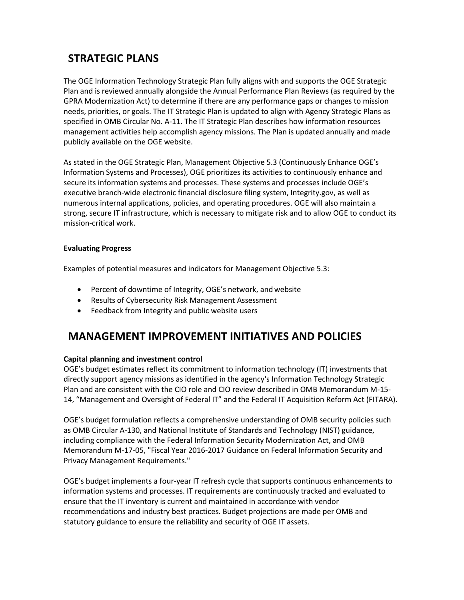# <span id="page-6-0"></span>**STRATEGIC PLANS**

The OGE Information Technology Strategic Plan fully aligns with and supports the OGE Strategic Plan and is reviewed annually alongside the Annual Performance Plan Reviews (as required by the GPRA Modernization Act) to determine if there are any performance gaps or changes to mission needs, priorities, or goals. The IT Strategic Plan is updated to align with Agency Strategic Plans as specified in OMB Circular No. A-11. The IT Strategic Plan describes how information resources management activities help accomplish agency missions. The Plan is updated annually and made publicly available on the OGE website.

As stated in the OGE Strategic Plan, Management Objective 5.3 (Continuously Enhance OGE's Information Systems and Processes), OGE prioritizes its activities to continuously enhance and secure its information systems and processes. These systems and processes include OGE's executive branch-wide electronic financial disclosure filing system, Integrity.gov, as well as numerous internal applications, policies, and operating procedures. OGE will also maintain a strong, secure IT infrastructure, which is necessary to mitigate risk and to allow OGE to conduct its mission-critical work.

### <span id="page-6-1"></span>**Evaluating Progress**

Examples of potential measures and indicators for Management Objective 5.3:

- Percent of downtime of Integrity, OGE's network, and website
- Results of Cybersecurity Risk Management Assessment
- Feedback from Integrity and public website users

# <span id="page-6-2"></span>**MANAGEMENT IMPROVEMENT INITIATIVES AND POLICIES**

#### <span id="page-6-3"></span>**Capital planning and investment control**

OGE's budget estimates reflect its commitment to information technology (IT) investments that directly support agency missions as identified in the agency's Information Technology Strategic Plan and are consistent with the CIO role and CIO review described in OMB Memorandum M-15- 14, "Management and Oversight of Federal IT" and the Federal IT Acquisition Reform Act (FITARA).

OGE's budget formulation reflects a comprehensive understanding of OMB security policies such as OMB Circular A-130, and National Institute of Standards and Technology (NIST) guidance, including compliance with the Federal Information Security Modernization Act, and OMB Memorandum M-17-05, "Fiscal Year 2016-2017 Guidance on Federal Information Security and Privacy Management Requirements."

OGE's budget implements a four-year IT refresh cycle that supports continuous enhancements to information systems and processes. IT requirements are continuously tracked and evaluated to ensure that the IT inventory is current and maintained in accordance with vendor recommendations and industry best practices. Budget projections are made per OMB and statutory guidance to ensure the reliability and security of OGE IT assets.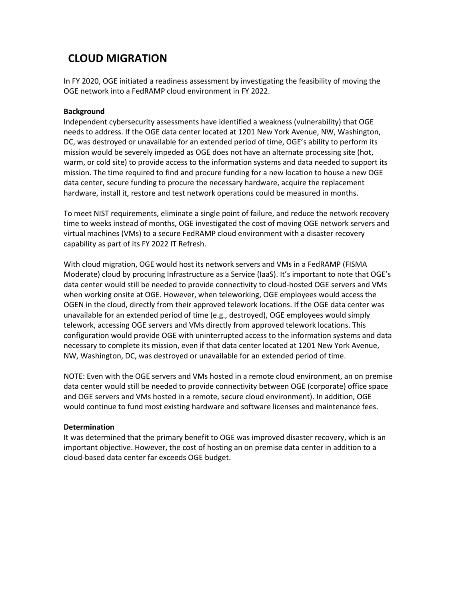# <span id="page-7-0"></span>**CLOUD MIGRATION**

In FY 2020, OGE initiated a readiness assessment by investigating the feasibility of moving the OGE network into a FedRAMP cloud environment in FY 2022.

### **Background**

Independent cybersecurity assessments have identified a weakness (vulnerability) that OGE needs to address. If the OGE data center located at 1201 New York Avenue, NW, Washington, DC, was destroyed or unavailable for an extended period of time, OGE's ability to perform its mission would be severely impeded as OGE does not have an alternate processing site (hot, warm, or cold site) to provide access to the information systems and data needed to support its mission. The time required to find and procure funding for a new location to house a new OGE data center, secure funding to procure the necessary hardware, acquire the replacement hardware, install it, restore and test network operations could be measured in months.

To meet NIST requirements, eliminate a single point of failure, and reduce the network recovery time to weeks instead of months, OGE investigated the cost of moving OGE network servers and virtual machines (VMs) to a secure FedRAMP cloud environment with a disaster recovery capability as part of its FY 2022 IT Refresh.

With cloud migration, OGE would host its network servers and VMs in a FedRAMP (FISMA Moderate) cloud by procuring Infrastructure as a Service (IaaS). It's important to note that OGE's data center would still be needed to provide connectivity to cloud-hosted OGE servers and VMs when working onsite at OGE. However, when teleworking, OGE employees would access the OGEN in the cloud, directly from their approved telework locations. If the OGE data center was unavailable for an extended period of time (e.g., destroyed), OGE employees would simply telework, accessing OGE servers and VMs directly from approved telework locations. This configuration would provide OGE with uninterrupted access to the information systems and data necessary to complete its mission, even if that data center located at 1201 New York Avenue, NW, Washington, DC, was destroyed or unavailable for an extended period of time.

NOTE: Even with the OGE servers and VMs hosted in a remote cloud environment, an on premise data center would still be needed to provide connectivity between OGE (corporate) office space and OGE servers and VMs hosted in a remote, secure cloud environment). In addition, OGE would continue to fund most existing hardware and software licenses and maintenance fees.

#### **Determination**

It was determined that the primary benefit to OGE was improved disaster recovery, which is an important objective. However, the cost of hosting an on premise data center in addition to a cloud-based data center far exceeds OGE budget.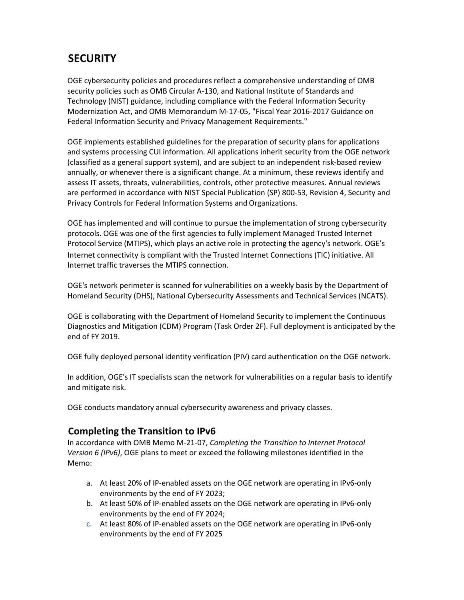# <span id="page-8-0"></span>**SECURITY**

OGE cybersecurity policies and procedures reflect a comprehensive understanding of OMB security policies such as OMB Circular A-130, and National Institute of Standards and Technology (NIST) guidance, including compliance with the Federal Information Security Modernization Act, and OMB Memorandum M-17-05, "Fiscal Year 2016-2017 Guidance on Federal Information Security and Privacy Management Requirements."

OGE implements established guidelines for the preparation of security plans for applications and systems processing CUI information. All applications inherit security from the OGE network (classified as a general support system), and are subject to an independent risk-based review annually, or whenever there is a significant change. At a minimum, these reviews identify and assess IT assets, threats, vulnerabilities, controls, other protective measures. Annual reviews are performed in accordance with NIST Special Publication (SP) 800-53, Revision 4, Security and Privacy Controls for Federal Information Systems and Organizations.

OGE has implemented and will continue to pursue the implementation of strong cybersecurity protocols. OGE was one of the first agencies to fully implement Managed Trusted Internet Protocol Service (MTIPS), which plays an active role in protecting the agency's network. OGE's Internet connectivity is compliant with the Trusted Internet Connections (TIC) initiative. All Internet traffic traverses the MTIPS connection.

OGE's network perimeter is scanned for vulnerabilities on a weekly basis by the Department of Homeland Security (DHS), National Cybersecurity Assessments and Technical Services (NCATS).

OGE is collaborating with the Department of Homeland Security to implement the Continuous Diagnostics and Mitigation (CDM) Program (Task Order 2F). Full deployment is anticipated by the end of FY 2019.

OGE fully deployed personal identity verification (PIV) card authentication on the OGE network.

In addition, OGE's IT specialists scan the network for vulnerabilities on a regular basis to identify and mitigate risk.

OGE conducts mandatory annual cybersecurity awareness and privacy classes.

### <span id="page-8-1"></span>**Completing the Transition to IPv6**

In accordance with OMB Memo M-21-07, *Completing the Transition to Internet Protocol Version 6 (IPv6)*, OGE plans to meet or exceed the following milestones identified in the Memo:

- a. At least 20% of IP-enabled assets on the OGE network are operating in IPv6-only environments by the end of FY 2023;
- b. At least 50% of IP-enabled assets on the OGE network are operating in IPv6-only environments by the end of FY 2024;
- c. At least 80% of IP-enabled assets on the OGE network are operating in IPv6-only environments by the end of FY 2025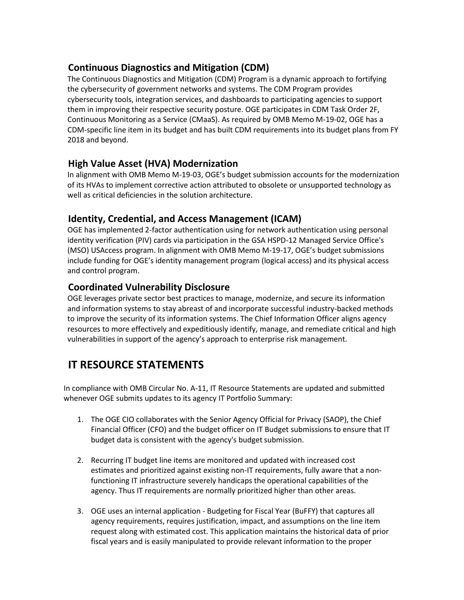### <span id="page-9-0"></span>**Continuous Diagnostics and Mitigation (CDM)**

The Continuous Diagnostics and Mitigation (CDM) Program is a dynamic approach to fortifying the cybersecurity of government networks and systems. The CDM Program provides cybersecurity tools, integration services, and dashboards to participating agencies to support them in improving their respective security posture. OGE participates in CDM Task Order 2F, Continuous Monitoring as a Service (CMaaS). As required by OMB Memo M-19-02, OGE has a CDM-specific line item in its budget and has built CDM requirements into its budget plans from FY 2018 and beyond.

### <span id="page-9-1"></span>**High Value Asset (HVA) Modernization**

In alignment with OMB Memo M-19-03, OGE's budget submission accounts for the modernization of its HVAs to implement corrective action attributed to obsolete or unsupported technology as well as critical deficiencies in the solution architecture.

### <span id="page-9-2"></span>**Identity, Credential, and Access Management (ICAM)**

OGE has implemented 2-factor authentication using for network authentication using personal identity verification (PIV) cards via participation in the GSA HSPD-12 Managed Service Office's (MSO) USAccess program. In alignment with OMB Memo M-19-17, OGE's budget submissions include funding for OGE's identity management program (logical access) and its physical access and control program.

### <span id="page-9-3"></span>**Coordinated Vulnerability Disclosure**

OGE leverages private sector best practices to manage, modernize, and secure its information and information systems to stay abreast of and incorporate successful industry-backed methods to improve the security of its information systems. The Chief Information Officer aligns agency resources to more effectively and expeditiously identify, manage, and remediate critical and high vulnerabilities in support of the agency's approach to enterprise risk management.

# <span id="page-9-4"></span>**IT RESOURCE STATEMENTS**

In compliance with OMB Circular No. A-11, IT Resource Statements are updated and submitted whenever OGE submits updates to its agency IT Portfolio Summary:

- 1. The OGE CIO collaborates with the Senior Agency Official for Privacy (SAOP), the Chief Financial Officer (CFO) and the budget officer on IT Budget submissions to ensure that IT budget data is consistent with the agency's budget submission.
- 2. Recurring IT budget line items are monitored and updated with increased cost estimates and prioritized against existing non-IT requirements, fully aware that a nonfunctioning IT infrastructure severely handicaps the operational capabilities of the agency. Thus IT requirements are normally prioritized higher than other areas.
- 3. OGE uses an internal application Budgeting for Fiscal Year (BuFFY) that captures all agency requirements, requires justification, impact, and assumptions on the line item request along with estimated cost. This application maintains the historical data of prior fiscal years and is easily manipulated to provide relevant information to the proper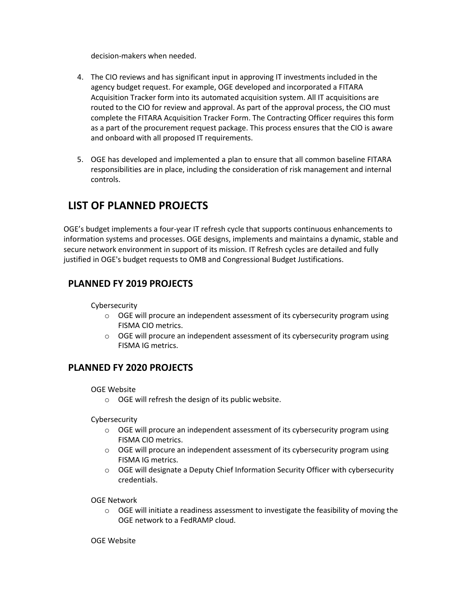decision-makers when needed.

- 4. The CIO reviews and has significant input in approving IT investments included in the agency budget request. For example, OGE developed and incorporated a FITARA Acquisition Tracker form into its automated acquisition system. All IT acquisitions are routed to the CIO for review and approval. As part of the approval process, the CIO must complete the FITARA Acquisition Tracker Form. The Contracting Officer requires this form as a part of the procurement request package. This process ensures that the CIO is aware and onboard with all proposed IT requirements.
- 5. OGE has developed and implemented a plan to ensure that all common baseline FITARA responsibilities are in place, including the consideration of risk management and internal controls.

# <span id="page-10-0"></span>**LIST OF PLANNED PROJECTS**

OGE's budget implements a four-year IT refresh cycle that supports continuous enhancements to information systems and processes. OGE designs, implements and maintains a dynamic, stable and secure network environment in support of its mission. IT Refresh cycles are detailed and fully justified in OGE's budget requests to OMB and Congressional Budget Justifications.

### <span id="page-10-1"></span>**PLANNED FY 2019 PROJECTS**

#### Cybersecurity

- $\circ$  OGE will procure an independent assessment of its cybersecurity program using FISMA CIO metrics.
- o OGE will procure an independent assessment of its cybersecurity program using FISMA IG metrics.

### <span id="page-10-2"></span>**PLANNED FY 2020 PROJECTS**

#### OGE Website

o OGE will refresh the design of its public website.

Cybersecurity

- $\circ$  OGE will procure an independent assessment of its cybersecurity program using FISMA CIO metrics.
- o OGE will procure an independent assessment of its cybersecurity program using FISMA IG metrics.
- o OGE will designate a Deputy Chief Information Security Officer with cybersecurity credentials.

OGE Network

 $\circ$  OGE will initiate a readiness assessment to investigate the feasibility of moving the OGE network to a FedRAMP cloud.

#### OGE Website